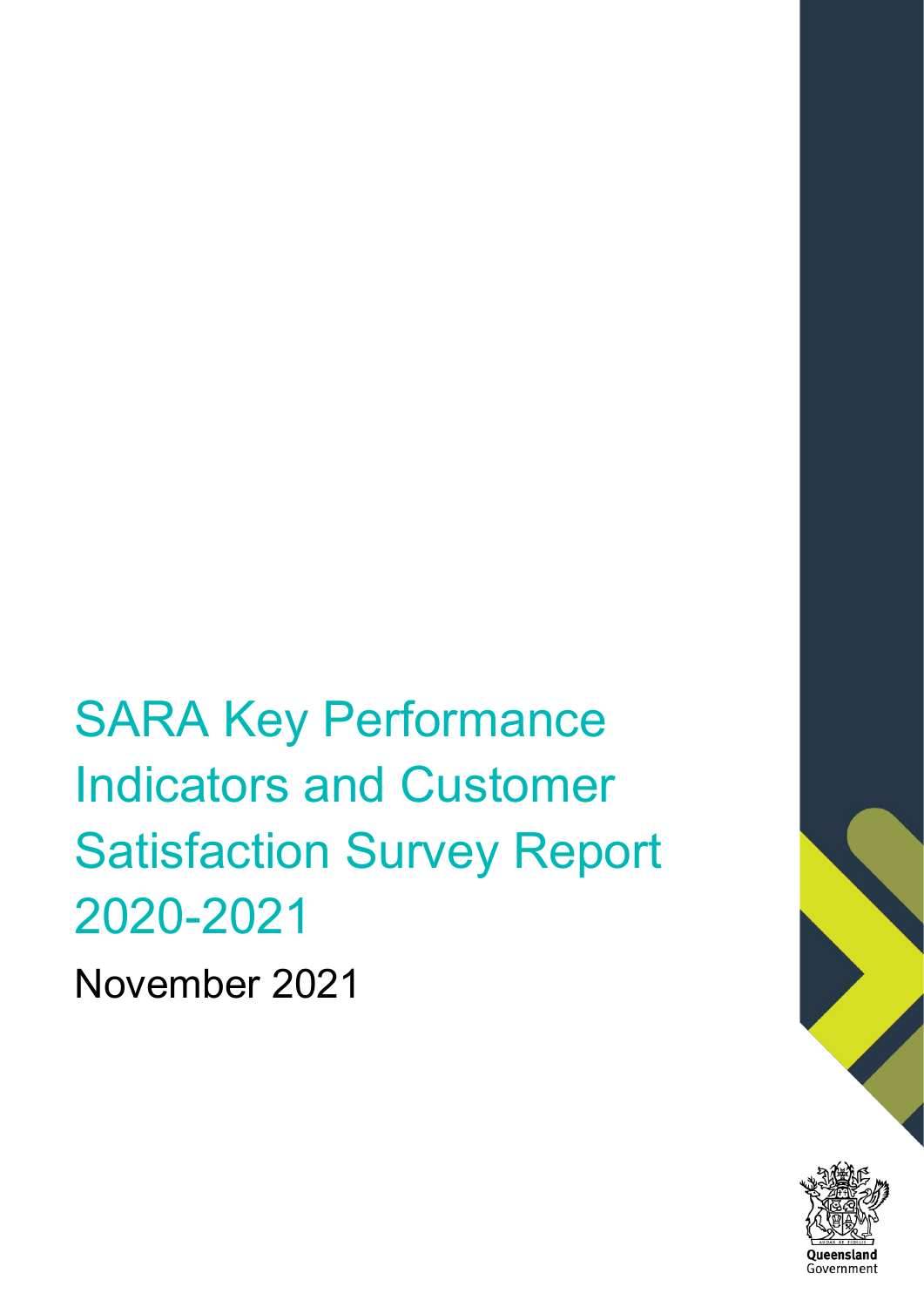SARA Key Performance Indicators and Customer Satisfaction Survey Report 2020-2021

November 2021

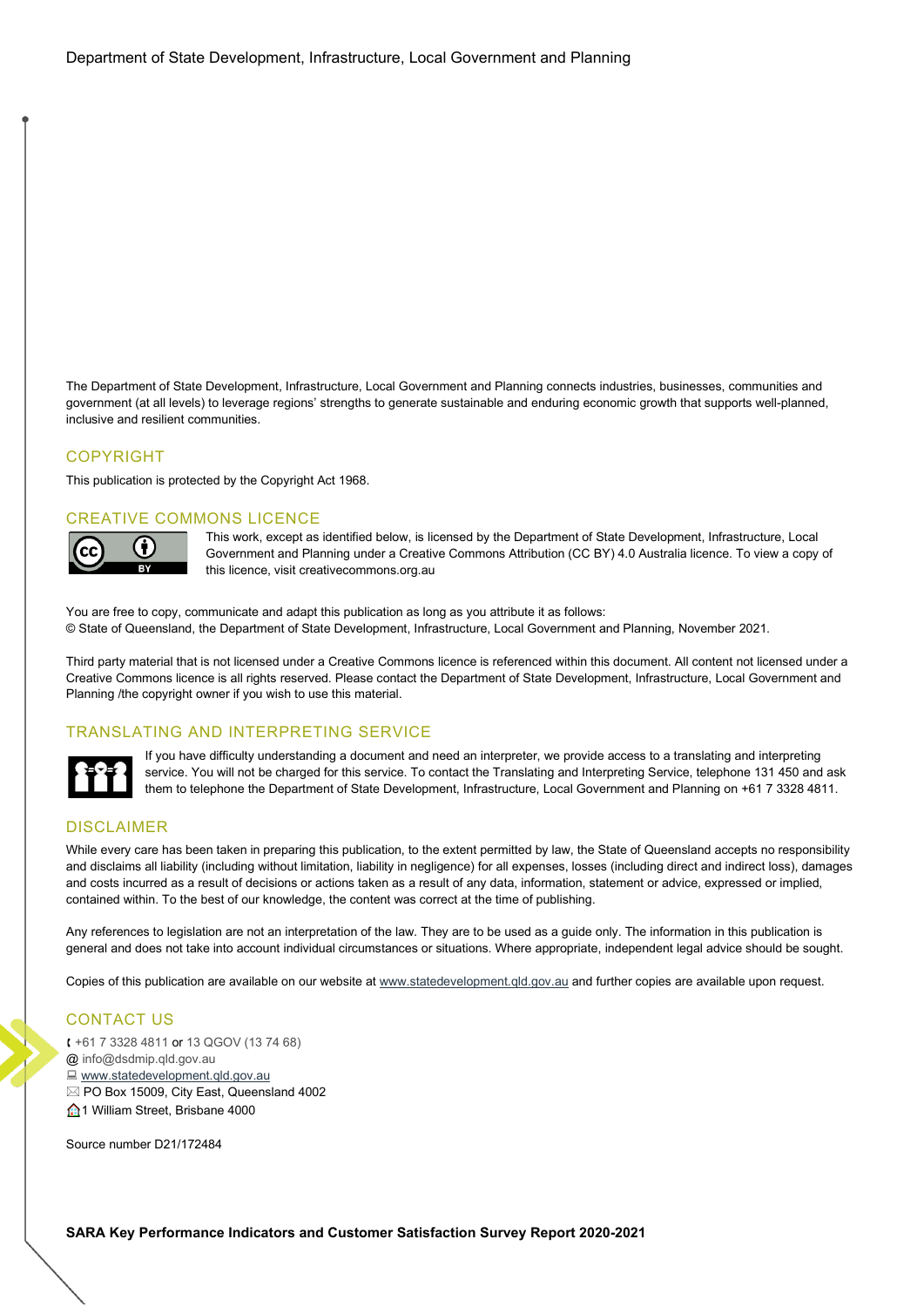The Department of State Development, Infrastructure, Local Government and Planning connects industries, businesses, communities and government (at all levels) to leverage regions' strengths to generate sustainable and enduring economic growth that supports well-planned, inclusive and resilient communities.

### COPYRIGHT

This publication is protected by the Copyright Act 1968.

### CREATIVE COMMONS LICENCE



This work, except as identified below, is licensed by the Department of State Development, Infrastructure, Local Government and Planning under a Creative Commons Attribution (CC BY) 4.0 Australia licence. To view a copy of this licence, visit [creativecommons.org.au](http://creativecommons.org.au/) 

You are free to copy, communicate and adapt this publication as long as you attribute it as follows: © State of Queensland, the Department of State Development, Infrastructure, Local Government and Planning, November 2021.

Third party material that is not licensed under a Creative Commons licence is referenced within this document. All content not licensed under a Creative Commons licence is all rights reserved. Please contact the Department of State Development, Infrastructure, Local Government and Planning /the copyright owner if you wish to use this material.

## TRANSLATING AND INTERPRETING SERVICE



If you have difficulty understanding a document and need an interpreter, we provide access to a translating and interpreting service. You will not be charged for this service. To contact the Translating and Interpreting Service, telephone 131 450 and ask them to telephone the Department of State Development, Infrastructure, Local Government and Planning on +61 7 3328 4811.

### DISCLAIMER

While every care has been taken in preparing this publication, to the extent permitted by law, the State of Queensland accepts no responsibility and disclaims all liability (including without limitation, liability in negligence) for all expenses, losses (including direct and indirect loss), damages and costs incurred as a result of decisions or actions taken as a result of any data, information, statement or advice, expressed or implied, contained within. To the best of our knowledge, the content was correct at the time of publishing.

Any references to legislation are not an interpretation of the law. They are to be used as a guide only. The information in this publication is general and does not take into account individual circumstances or situations. Where appropriate, independent legal advice should be sought.

Copies of this publication are available on our website a[t www.statedevelopment.qld.gov.au](http://www.statedevelopment.qld.gov.au/) and further copies are available upon request.

### CONTACT US

 [+61 7 3328 4811](tel:073328481) or 13 QGOV [\(13 74 68\)](tel:137468)  @ [info@dsdmip.qld.gov.au](mailto:info@dsdmip.qld.gov.au) [www.statedevelopment.qld.gov.au](http://www.statedevelopment.qld.gov.au/) PO Box 15009, City East, Queensland 4002  $\bigoplus$  1 William Street, Brisbane 4000

Source number D21/172484

**SARA Key Performance Indicators and Customer Satisfaction Survey Report 2020-2021**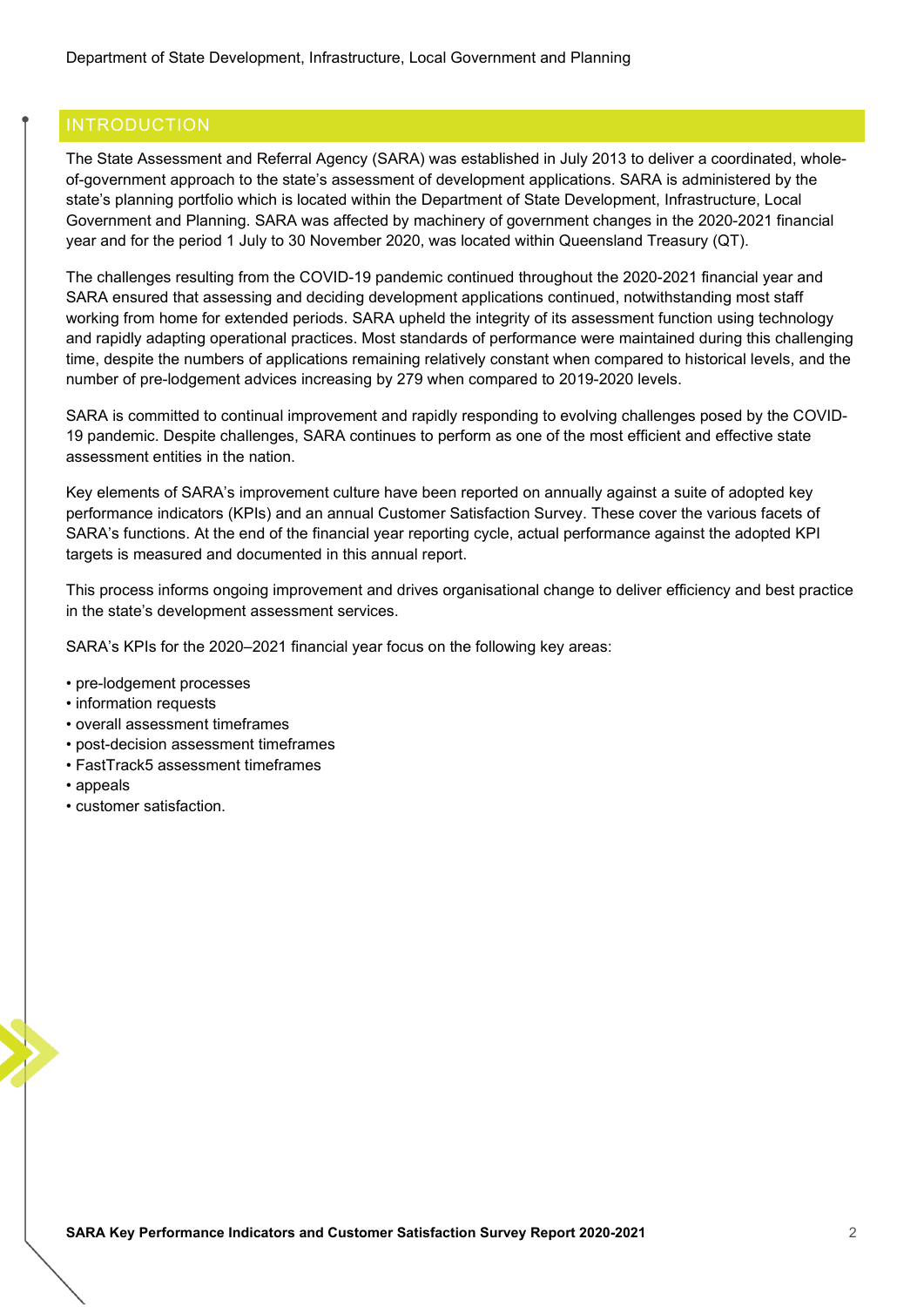<span id="page-3-0"></span>The State Assessment and Referral Agency (SARA) was established in July 2013 to deliver a coordinated, wholeof-government approach to the state's assessment of development applications. SARA is administered by the state's planning portfolio which is located within the Department of State Development, Infrastructure, Local Government and Planning. SARA was affected by machinery of government changes in the 2020-2021 financial year and for the period 1 July to 30 November 2020, was located within Queensland Treasury (QT).

The challenges resulting from the COVID-19 pandemic continued throughout the 2020-2021 financial year and SARA ensured that assessing and deciding development applications continued, notwithstanding most staff working from home for extended periods. SARA upheld the integrity of its assessment function using technology and rapidly adapting operational practices. Most standards of performance were maintained during this challenging time, despite the numbers of applications remaining relatively constant when compared to historical levels, and the number of pre-lodgement advices increasing by 279 when compared to 2019-2020 levels.

SARA is committed to continual improvement and rapidly responding to evolving challenges posed by the COVID-19 pandemic. Despite challenges, SARA continues to perform as one of the most efficient and effective state assessment entities in the nation.

Key elements of SARA's improvement culture have been reported on annually against a suite of adopted key performance indicators (KPIs) and an annual Customer Satisfaction Survey. These cover the various facets of SARA's functions. At the end of the financial year reporting cycle, actual performance against the adopted KPI targets is measured and documented in this annual report.

This process informs ongoing improvement and drives organisational change to deliver efficiency and best practice in the state's development assessment services.

SARA's KPIs for the 2020–2021 financial year focus on the following key areas:

- pre-lodgement processes
- information requests
- overall assessment timeframes
- post-decision assessment timeframes
- FastTrack5 assessment timeframes
- appeals
- customer satisfaction.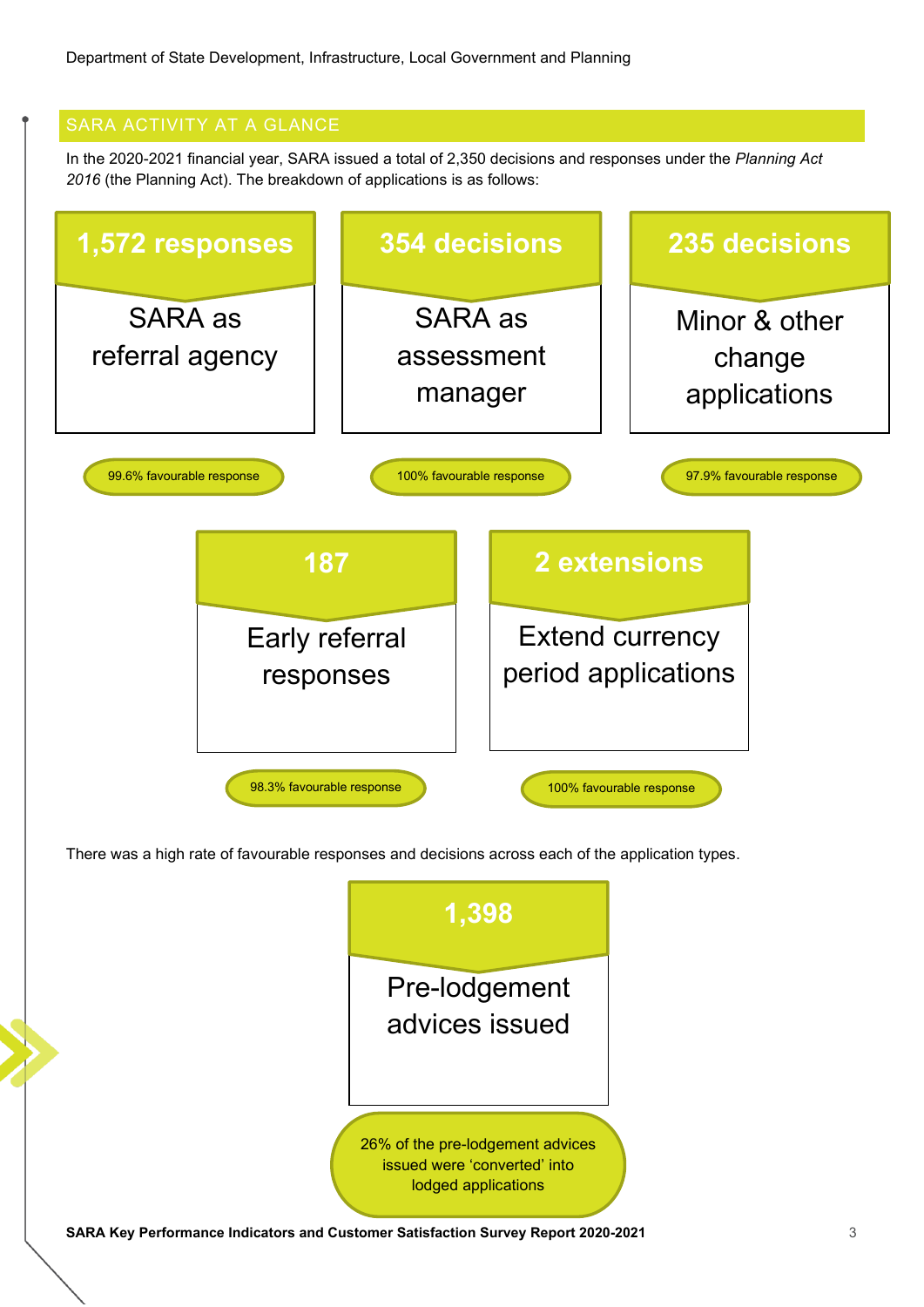<span id="page-4-0"></span>In the 2020-2021 financial year, SARA issued a total of 2,350 decisions and responses under the *Planning Act 2016* (the Planning Act). The breakdown of applications is as follows:



There was a high rate of favourable responses and decisions across each of the application types.

|                                                                                   | 1,398                                                                                   |   |
|-----------------------------------------------------------------------------------|-----------------------------------------------------------------------------------------|---|
|                                                                                   | Pre-lodgement<br>advices issued                                                         |   |
|                                                                                   | 26% of the pre-lodgement advices<br>issued were 'converted' into<br>lodged applications |   |
| SARA Key Performance Indicators and Customer Satisfaction Survey Report 2020-2021 |                                                                                         | 3 |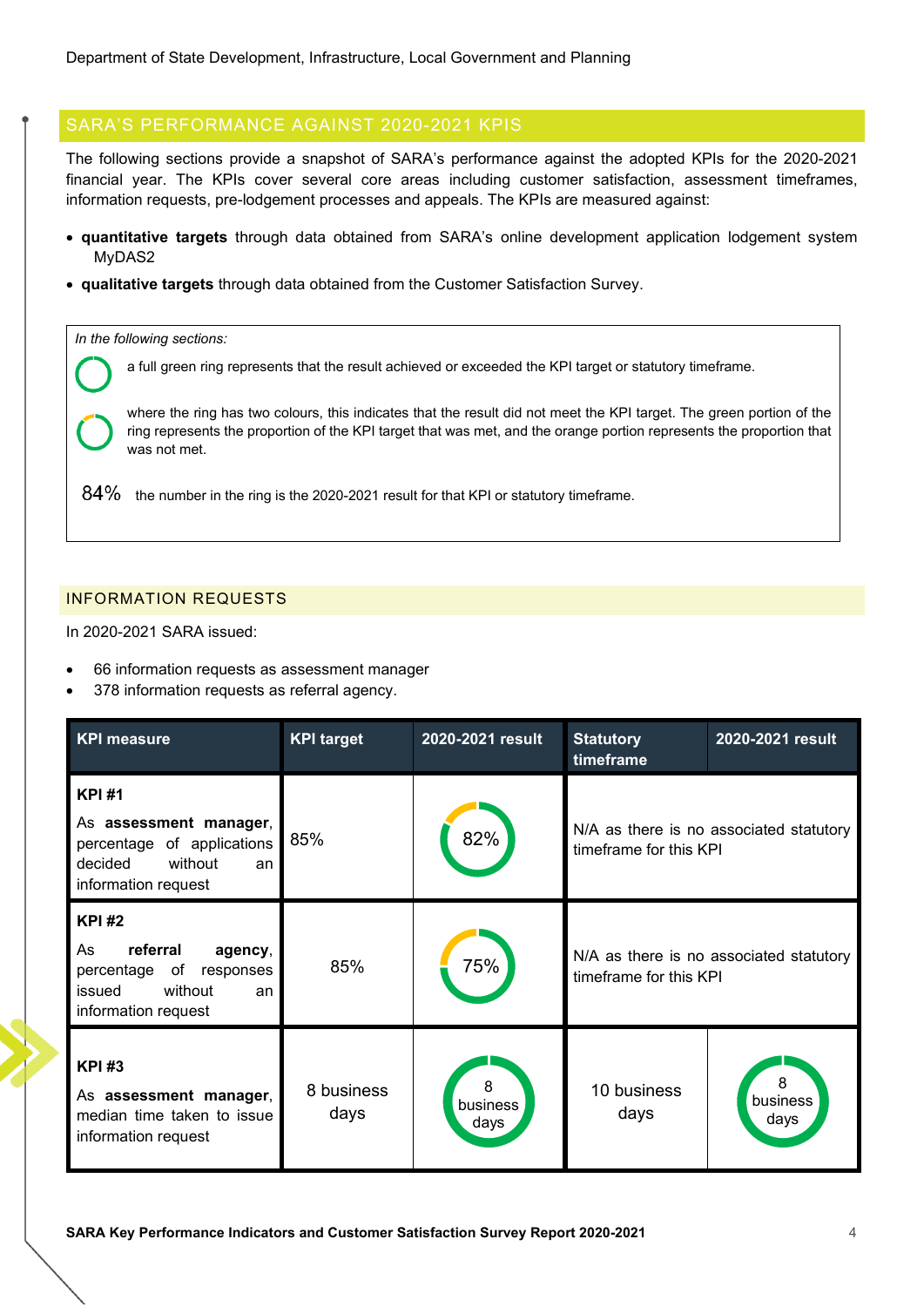<span id="page-5-0"></span>The following sections provide a snapshot of SARA's performance against the adopted KPIs for the 2020-2021 financial year. The KPIs cover several core areas including customer satisfaction, assessment timeframes, information requests, pre-lodgement processes and appeals. The KPIs are measured against:

- **quantitative targets** through data obtained from SARA's online development application lodgement system MyDAS2
- **qualitative targets** through data obtained from the Customer Satisfaction Survey.

*In the following sections:*

a full green ring represents that the result achieved or exceeded the KPI target or statutory timeframe.

where the ring has two colours, this indicates that the result did not meet the KPI target. The green portion of the ring represents the proportion of the KPI target that was met, and the orange portion represents the proportion that was not met.

 $84\%$  the number in the ring is the 2020-2021 result for that KPI or statutory timeframe.

## <span id="page-5-1"></span>INFORMATION REQUESTS

In 2020-2021 SARA issued:

- 66 information requests as assessment manager
- 378 information requests as referral agency.

| <b>KPI measure</b>                                                                                                        | <b>KPI target</b>  | 2020-2021 result      | <b>Statutory</b><br>timeframe                                     | 2020-2021 result                        |
|---------------------------------------------------------------------------------------------------------------------------|--------------------|-----------------------|-------------------------------------------------------------------|-----------------------------------------|
| <b>KPI#1</b><br>As assessment manager,<br>percentage of applications<br>without<br>decided<br>an<br>information request   | 85%                | 82%                   | timeframe for this KPI                                            | N/A as there is no associated statutory |
| <b>KPI#2</b><br>referral<br>As<br>agency,<br>percentage of<br>responses<br>without<br>issued<br>an<br>information request | 85%                | 75%                   | N/A as there is no associated statutory<br>timeframe for this KPI |                                         |
| <b>KPI#3</b><br>As assessment manager,<br>median time taken to issue<br>information request                               | 8 business<br>days | 8<br>business<br>days | 10 business<br>days                                               | 8<br>business<br>days                   |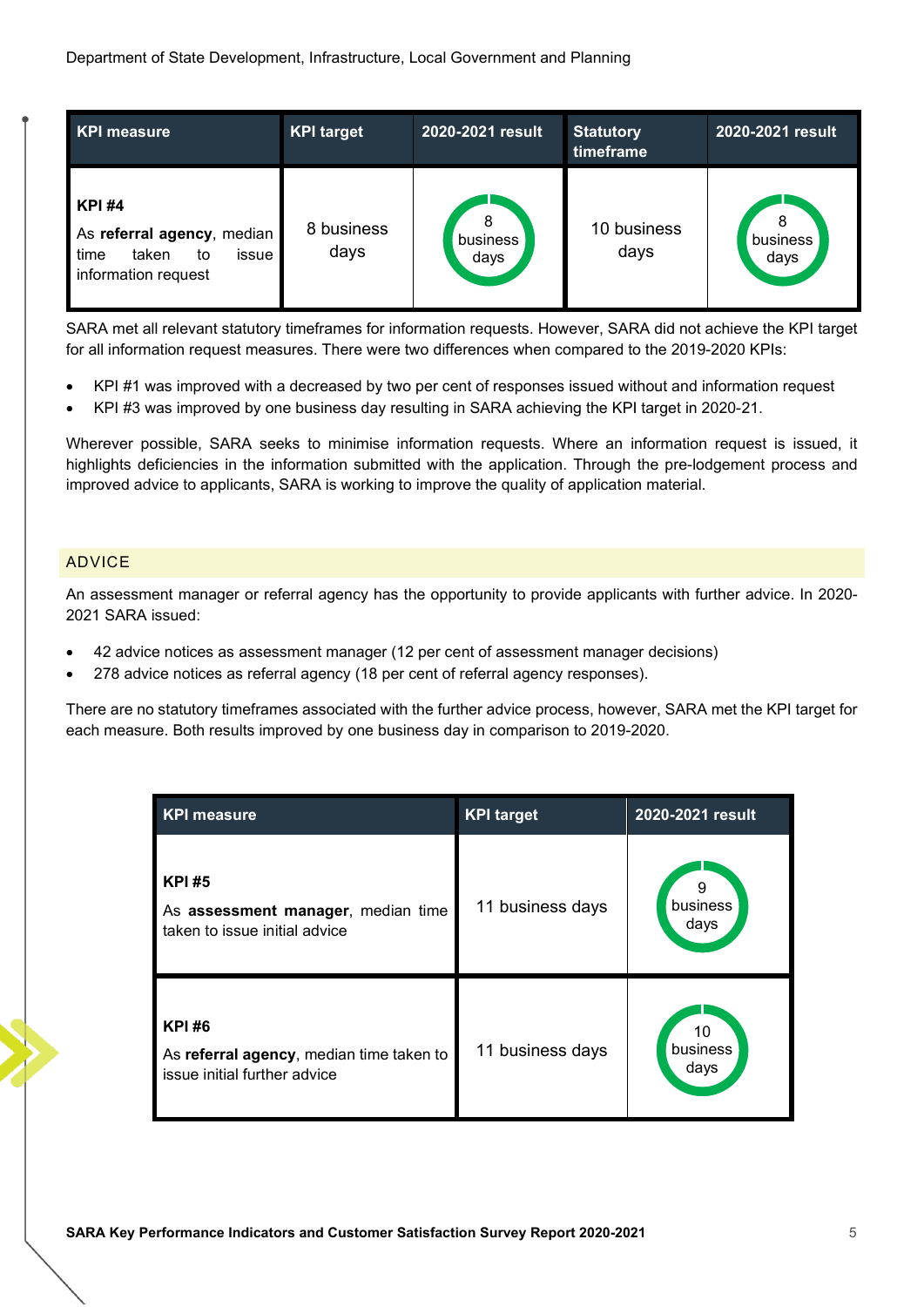| <b>KPI measure</b>                                                                                | <b>KPI target</b>  | 2020-2021 result      | <b>Statutory</b><br>timeframe | 2020-2021 result |
|---------------------------------------------------------------------------------------------------|--------------------|-----------------------|-------------------------------|------------------|
| <b>KPI#4</b><br>As referral agency, median<br>time<br>taken<br>issue<br>to<br>information request | 8 business<br>days | 8<br>business<br>days | 10 business<br>days           | business<br>days |

SARA met all relevant statutory timeframes for information requests. However, SARA did not achieve the KPI target for all information request measures. There were two differences when compared to the 2019-2020 KPIs:

- KPI #1 was improved with a decreased by two per cent of responses issued without and information request
- KPI #3 was improved by one business day resulting in SARA achieving the KPI target in 2020-21.

Wherever possible, SARA seeks to minimise information requests. Where an information request is issued, it highlights deficiencies in the information submitted with the application. Through the pre-lodgement process and improved advice to applicants, SARA is working to improve the quality of application material.

## <span id="page-6-0"></span>ADVICE

An assessment manager or referral agency has the opportunity to provide applicants with further advice. In 2020- 2021 SARA issued:

- 42 advice notices as assessment manager (12 per cent of assessment manager decisions)
- 278 advice notices as referral agency (18 per cent of referral agency responses).

There are no statutory timeframes associated with the further advice process, however, SARA met the KPI target for each measure. Both results improved by one business day in comparison to 2019-2020.

| <b>KPI measure</b>                                                                       | <b>KPI target</b> | 2020-2021 result       |
|------------------------------------------------------------------------------------------|-------------------|------------------------|
| <b>KPI#5</b><br>As assessment manager, median time<br>taken to issue initial advice      | 11 business days  | 9<br>business<br>days  |
| <b>KPI#6</b><br>As referral agency, median time taken to<br>issue initial further advice | 11 business days  | 10<br>business<br>days |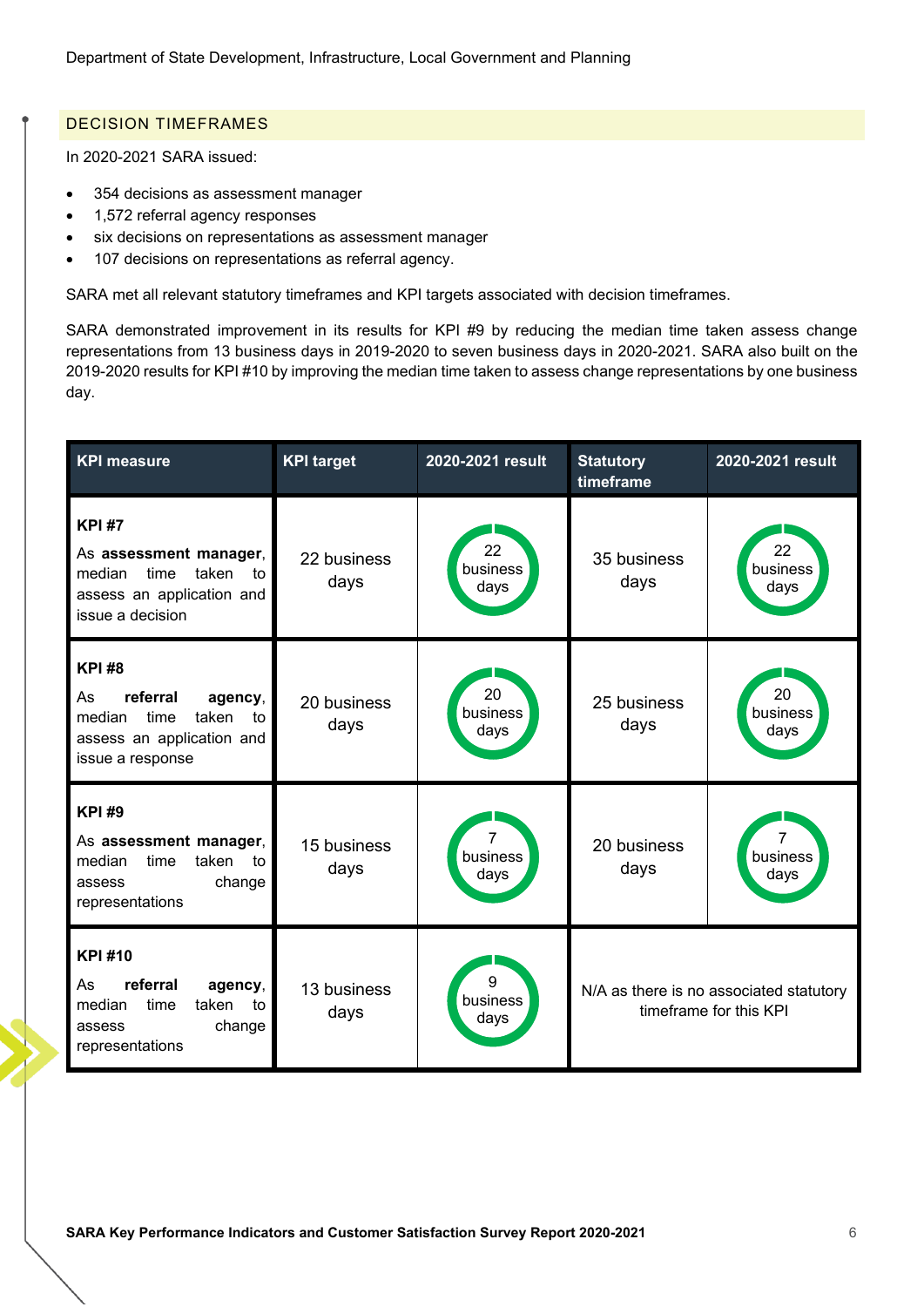# <span id="page-7-0"></span>DECISION TIMEFRAMES

In 2020-2021 SARA issued:

- 354 decisions as assessment manager
- 1,572 referral agency responses
- six decisions on representations as assessment manager
- 107 decisions on representations as referral agency.

SARA met all relevant statutory timeframes and KPI targets associated with decision timeframes.

SARA demonstrated improvement in its results for KPI #9 by reducing the median time taken assess change representations from 13 business days in 2019-2020 to seven business days in 2020-2021. SARA also built on the 2019-2020 results for KPI #10 by improving the median time taken to assess change representations by one business day.

| <b>KPI</b> measure                                                                                                          | <b>KPI target</b>   | 2020-2021 result       | <b>Statutory</b><br>timeframe | 2020-2021 result                                                  |
|-----------------------------------------------------------------------------------------------------------------------------|---------------------|------------------------|-------------------------------|-------------------------------------------------------------------|
| <b>KPI#7</b><br>As assessment manager,<br>time<br>taken<br>median<br>to<br>assess an application and<br>issue a decision    | 22 business<br>days | 22<br>business<br>days | 35 business<br>days           | 22<br>business<br>days                                            |
| <b>KPI#8</b><br>referral<br>agency,<br>As<br>taken<br>median<br>time<br>to<br>assess an application and<br>issue a response | 20 business<br>days | 20<br>business<br>days | 25 business<br>days           | 20<br>business<br>days                                            |
| <b>KPI#9</b><br>As assessment manager,<br>time<br>median<br>taken<br>to<br>change<br>assess<br>representations              | 15 business<br>days | 7<br>business<br>days  | 20 business<br>days           | business<br>days                                                  |
| <b>KPI#10</b><br>referral<br>agency,<br>As<br>median<br>taken<br>time<br>to<br>change<br>assess<br>representations          | 13 business<br>days | g<br>business<br>days  |                               | N/A as there is no associated statutory<br>timeframe for this KPI |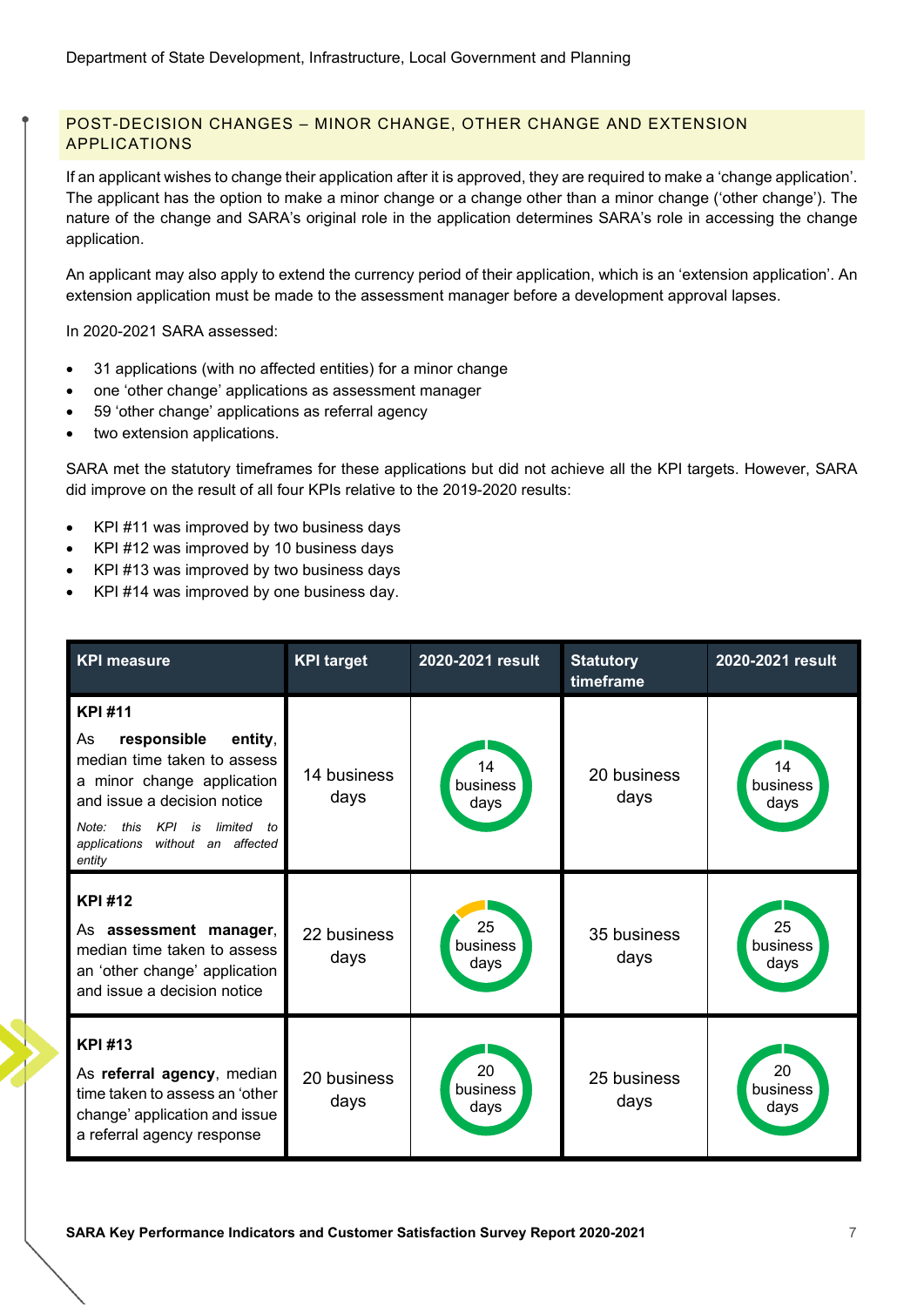# <span id="page-8-0"></span>POST-DECISION CHANGES – MINOR CHANGE, OTHER CHANGE AND EXTENSION APPLICATIONS

If an applicant wishes to change their application after it is approved, they are required to make a 'change application'. The applicant has the option to make a minor change or a change other than a minor change ('other change'). The nature of the change and SARA's original role in the application determines SARA's role in accessing the change application.

An applicant may also apply to extend the currency period of their application, which is an 'extension application'. An extension application must be made to the assessment manager before a development approval lapses.

In 2020-2021 SARA assessed:

- 31 applications (with no affected entities) for a minor change
- one 'other change' applications as assessment manager
- 59 'other change' applications as referral agency
- two extension applications.

SARA met the statutory timeframes for these applications but did not achieve all the KPI targets. However, SARA did improve on the result of all four KPIs relative to the 2019-2020 results:

- KPI #11 was improved by two business days
- KPI #12 was improved by 10 business days
- KPI #13 was improved by two business days
- KPI #14 was improved by one business day.

| <b>KPI measure</b>                                                                                                                                                                                                                  | <b>KPI target</b>   | 2020-2021 result       | <b>Statutory</b><br>timeframe | 2020-2021 result       |
|-------------------------------------------------------------------------------------------------------------------------------------------------------------------------------------------------------------------------------------|---------------------|------------------------|-------------------------------|------------------------|
| <b>KPI#11</b><br>responsible<br>entity,<br>As<br>median time taken to assess<br>a minor change application<br>and issue a decision notice<br>this<br>KPI is<br>limited to<br>Note:<br>without an affected<br>applications<br>entity | 14 business<br>days | 14<br>business<br>days | 20 business<br>days           | 14<br>business<br>days |
| <b>KPI#12</b><br>As assessment manager,<br>median time taken to assess<br>an 'other change' application<br>and issue a decision notice                                                                                              | 22 business<br>days | 25<br>business<br>days | 35 business<br>days           | 25<br>business<br>days |
| <b>KPI#13</b><br>As referral agency, median<br>time taken to assess an 'other<br>change' application and issue<br>a referral agency response                                                                                        | 20 business<br>days | 20<br>business<br>days | 25 business<br>days           | 20<br>business<br>days |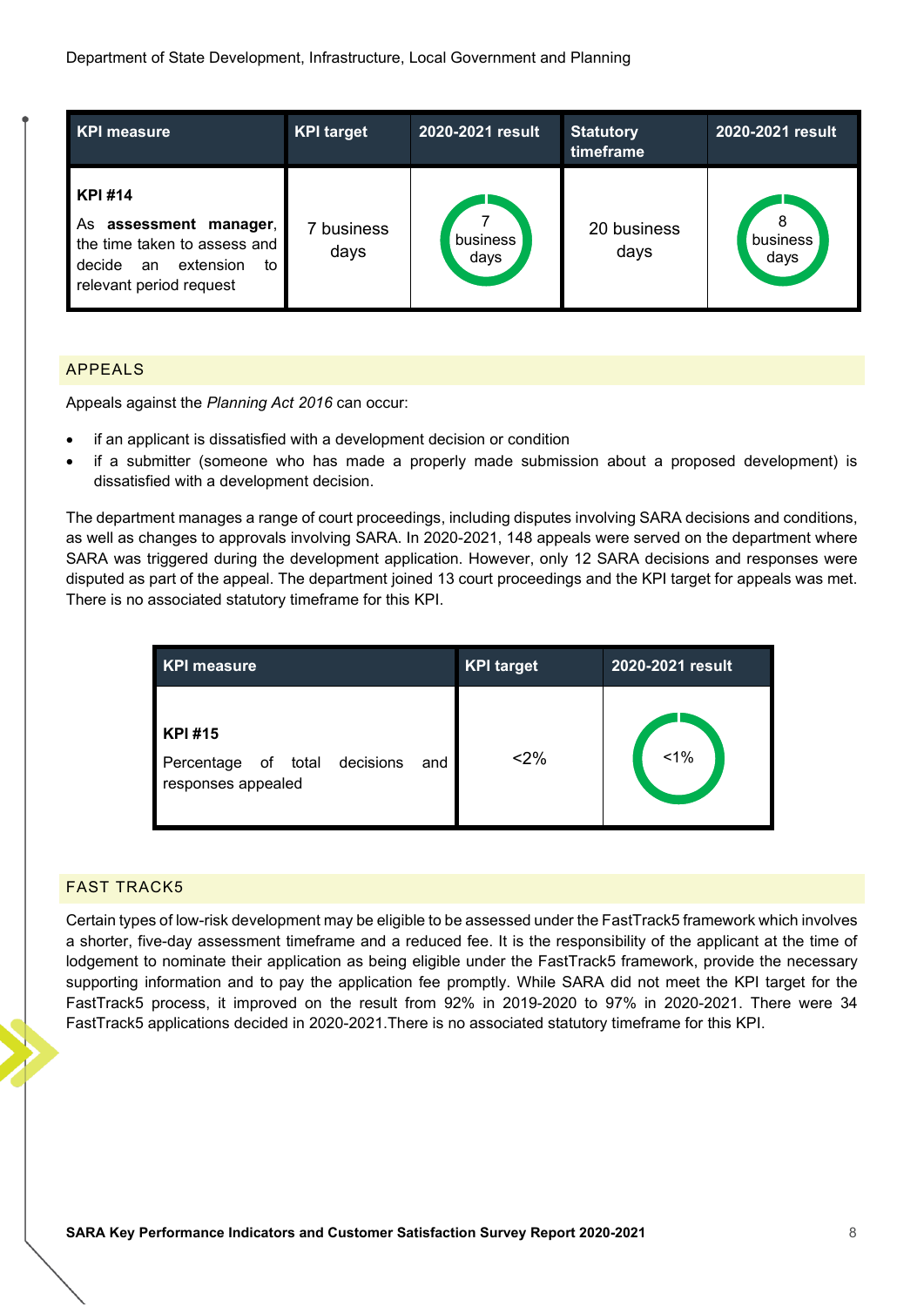| KPI measure                                                                                                                              | <b>KPI target</b> | 2020-2021 result | <b>Statutory</b><br>timeframe | 2020-2021 result      |
|------------------------------------------------------------------------------------------------------------------------------------------|-------------------|------------------|-------------------------------|-----------------------|
| <b>KPI#14</b><br>assessment manager,<br>As<br>the time taken to assess and<br>extension<br>decide<br>to<br>an<br>relevant period request | business<br>days  | business<br>days | 20 business<br>days           | 8<br>business<br>days |

<span id="page-9-0"></span>APPEALS

Appeals against the *Planning Act 2016* can occur:

- if an applicant is dissatisfied with a development decision or condition
- if a submitter (someone who has made a properly made submission about a proposed development) is dissatisfied with a development decision.

The department manages a range of court proceedings, including disputes involving SARA decisions and conditions, as well as changes to approvals involving SARA. In 2020-2021, 148 appeals were served on the department where SARA was triggered during the development application. However, only 12 SARA decisions and responses were disputed as part of the appeal. The department joined 13 court proceedings and the KPI target for appeals was met. There is no associated statutory timeframe for this KPI.

| <b>KPI measure</b>                                                                | <b>KPI target</b> | 2020-2021 result |
|-----------------------------------------------------------------------------------|-------------------|------------------|
| <b>KPI#15</b><br>decisions<br>of total<br>Percentage<br>and<br>responses appealed | $2\%$             | 1%               |

## <span id="page-9-1"></span>FAST TRACK5

Certain types of low-risk development may be eligible to be assessed under the FastTrack5 framework which involves a shorter, five-day assessment timeframe and a reduced fee. It is the responsibility of the applicant at the time of lodgement to nominate their application as being eligible under the FastTrack5 framework, provide the necessary supporting information and to pay the application fee promptly. While SARA did not meet the KPI target for the FastTrack5 process, it improved on the result from 92% in 2019-2020 to 97% in 2020-2021. There were 34 FastTrack5 applications decided in 2020-2021.There is no associated statutory timeframe for this KPI.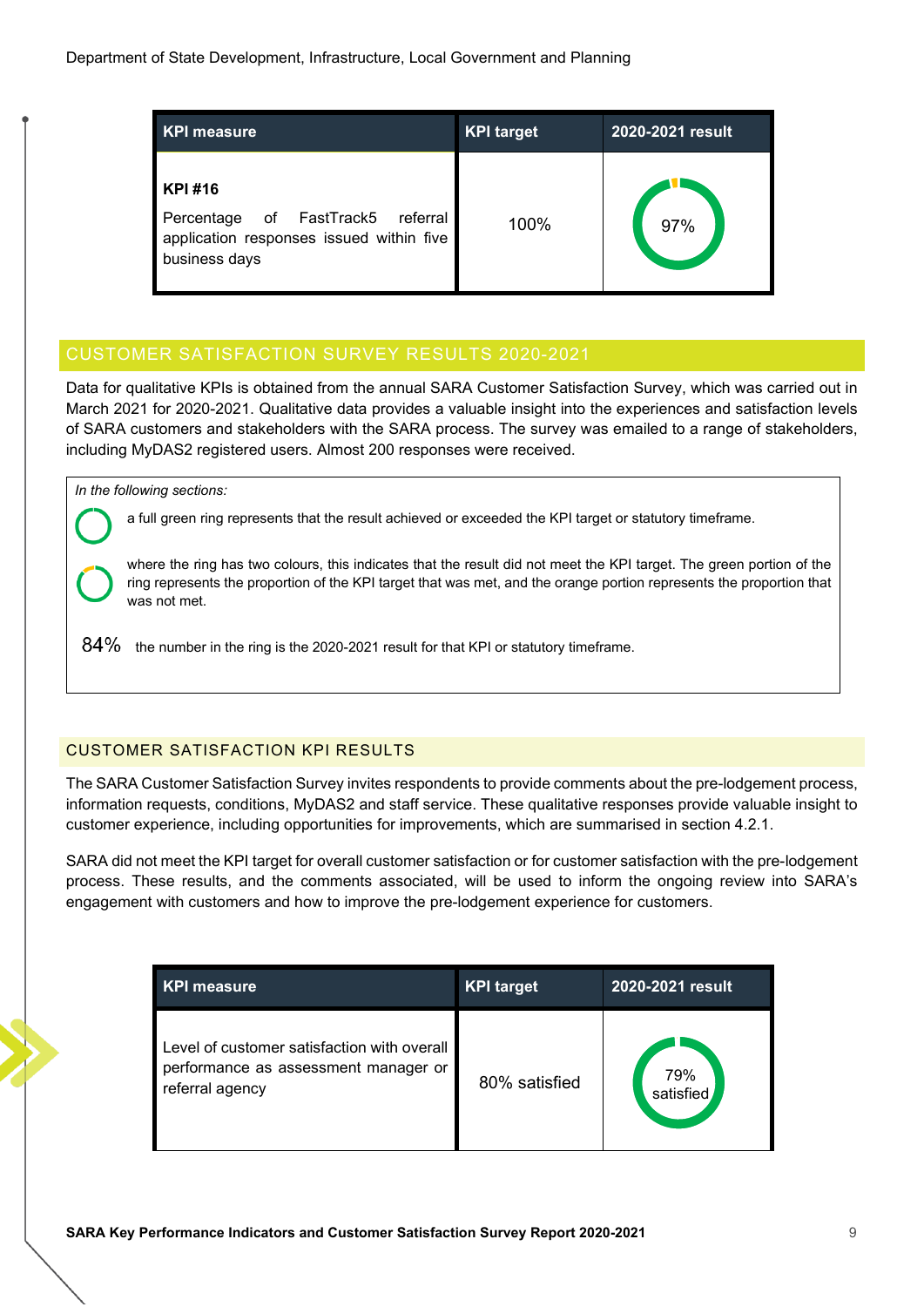| <b>KPI measure</b>                                                                                        | <b>KPI target</b> | 2020-2021 result |
|-----------------------------------------------------------------------------------------------------------|-------------------|------------------|
| KPI #16<br>Percentage of FastTrack5 referral<br>application responses issued within five<br>business days | 100%              | 97%              |

# <span id="page-10-0"></span>CUSTOMER SATISFACTION SURVEY RESULTS 2020-2021

Data for qualitative KPIs is obtained from the annual SARA Customer Satisfaction Survey, which was carried out in March 2021 for 2020-2021. Qualitative data provides a valuable insight into the experiences and satisfaction levels of SARA customers and stakeholders with the SARA process. The survey was emailed to a range of stakeholders, including MyDAS2 registered users. Almost 200 responses were received.

*In the following sections:*

a full green ring represents that the result achieved or exceeded the KPI target or statutory timeframe.

where the ring has two colours, this indicates that the result did not meet the KPI target. The green portion of the ring represents the proportion of the KPI target that was met, and the orange portion represents the proportion that was not met.

 $84\%$  the number in the ring is the 2020-2021 result for that KPI or statutory timeframe.

# <span id="page-10-1"></span>CUSTOMER SATISFACTION KPI RESULTS

The SARA Customer Satisfaction Survey invites respondents to provide comments about the pre-lodgement process, information requests, conditions, MyDAS2 and staff service. These qualitative responses provide valuable insight to customer experience, including opportunities for improvements, which are summarised in section 4.2.1.

SARA did not meet the KPI target for overall customer satisfaction or for customer satisfaction with the pre-lodgement process. These results, and the comments associated, will be used to inform the ongoing review into SARA's engagement with customers and how to improve the pre-lodgement experience for customers.

| <b>KPI measure</b>                                                                                     | <b>KPI target</b> | 2020-2021 result |
|--------------------------------------------------------------------------------------------------------|-------------------|------------------|
| Level of customer satisfaction with overall<br>performance as assessment manager or<br>referral agency | 80% satisfied     | 79%<br>satisfied |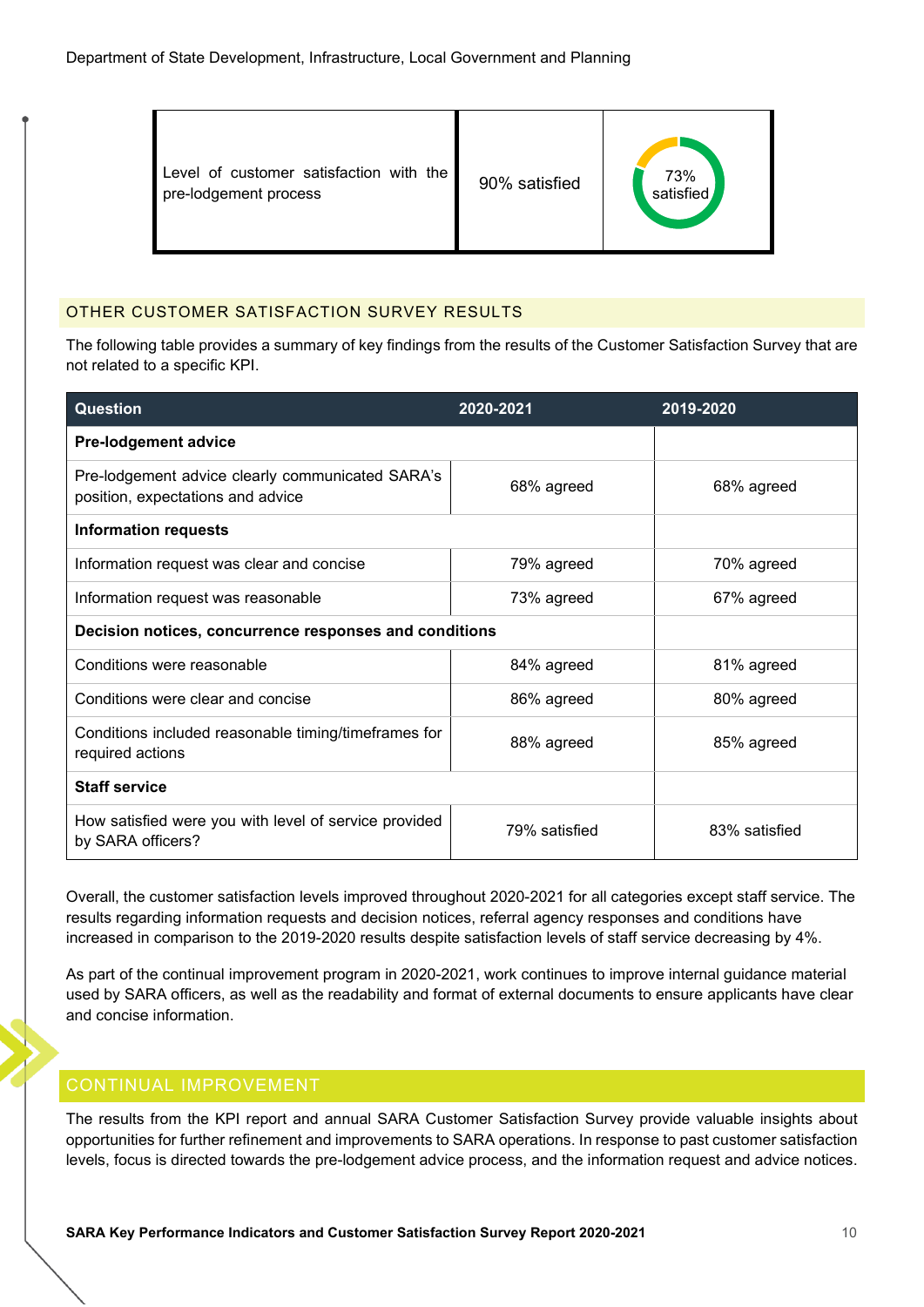| Level of customer satisfaction with the<br>pre-lodgement process | 90% satisfied | 73%<br>satisfied |
|------------------------------------------------------------------|---------------|------------------|
|------------------------------------------------------------------|---------------|------------------|

# <span id="page-11-0"></span>OTHER CUSTOMER SATISFACTION SURVEY RESULTS

The following table provides a summary of key findings from the results of the Customer Satisfaction Survey that are not related to a specific KPI.

| <b>Question</b>                                                                       | 2020-2021     | 2019-2020     |
|---------------------------------------------------------------------------------------|---------------|---------------|
| <b>Pre-lodgement advice</b>                                                           |               |               |
| Pre-lodgement advice clearly communicated SARA's<br>position, expectations and advice | 68% agreed    | 68% agreed    |
| <b>Information requests</b>                                                           |               |               |
| Information request was clear and concise                                             | 79% agreed    | 70% agreed    |
| Information request was reasonable                                                    | 73% agreed    | 67% agreed    |
| Decision notices, concurrence responses and conditions                                |               |               |
| Conditions were reasonable                                                            | 84% agreed    | 81% agreed    |
| Conditions were clear and concise                                                     | 86% agreed    | 80% agreed    |
| Conditions included reasonable timing/timeframes for<br>required actions              | 88% agreed    | 85% agreed    |
| <b>Staff service</b>                                                                  |               |               |
| How satisfied were you with level of service provided<br>by SARA officers?            | 79% satisfied | 83% satisfied |

Overall, the customer satisfaction levels improved throughout 2020-2021 for all categories except staff service. The results regarding information requests and decision notices, referral agency responses and conditions have increased in comparison to the 2019-2020 results despite satisfaction levels of staff service decreasing by 4%.

As part of the continual improvement program in 2020-2021, work continues to improve internal guidance material used by SARA officers, as well as the readability and format of external documents to ensure applicants have clear and concise information.

# <span id="page-11-1"></span>CONTINUAL IMPROVEMENT

The results from the KPI report and annual SARA Customer Satisfaction Survey provide valuable insights about opportunities for further refinement and improvements to SARA operations. In response to past customer satisfaction levels, focus is directed towards the pre-lodgement advice process, and the information request and advice notices.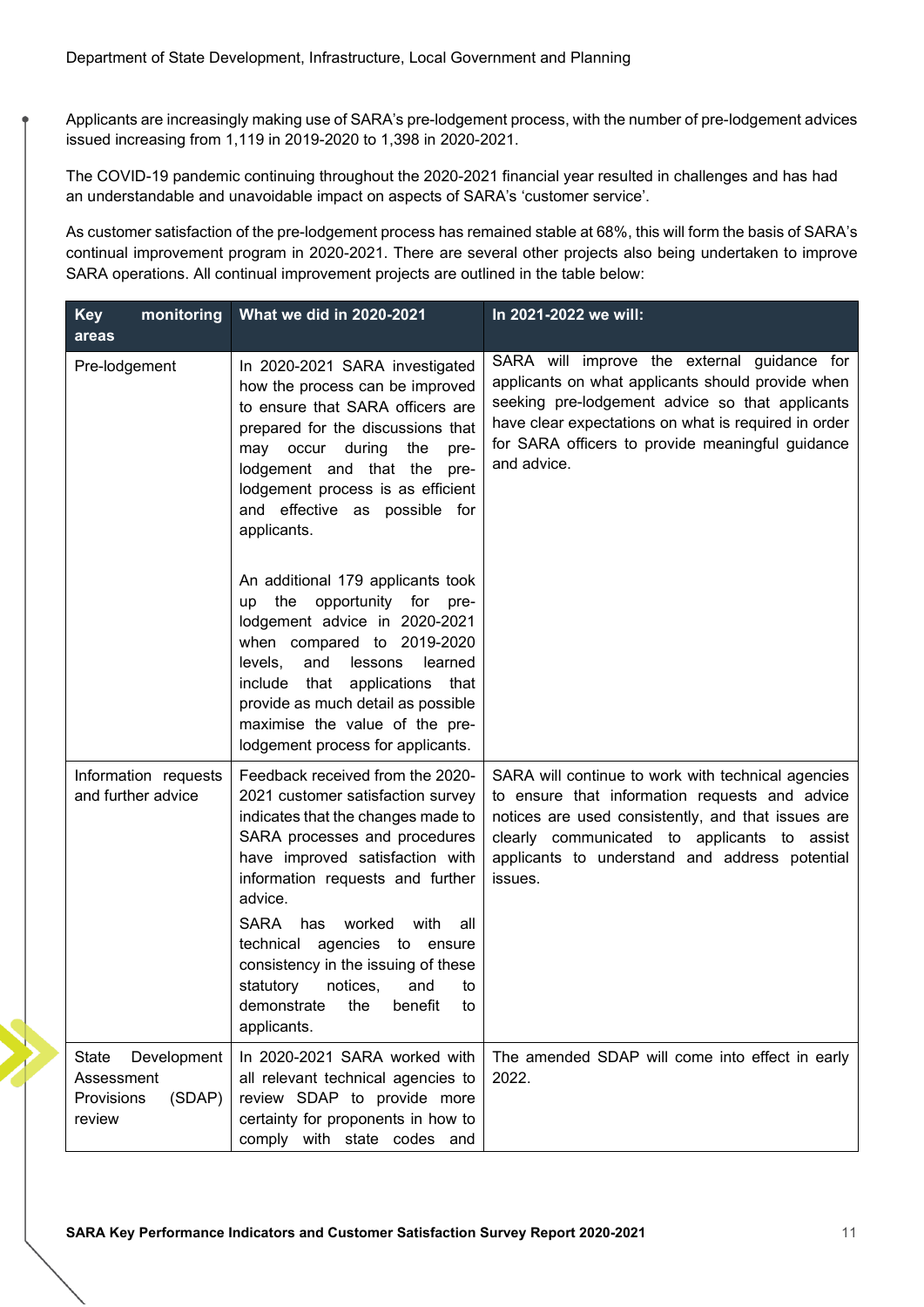Applicants are increasingly making use of SARA's pre-lodgement process, with the number of pre-lodgement advices issued increasing from 1,119 in 2019-2020 to 1,398 in 2020-2021.

The COVID-19 pandemic continuing throughout the 2020-2021 financial year resulted in challenges and has had an understandable and unavoidable impact on aspects of SARA's 'customer service'.

As customer satisfaction of the pre-lodgement process has remained stable at 68%, this will form the basis of SARA's continual improvement program in 2020-2021. There are several other projects also being undertaken to improve SARA operations. All continual improvement projects are outlined in the table below:

| monitoring<br><b>Key</b><br>areas                                    | What we did in 2020-2021                                                                                                                                                                                                                                                                                                                                                                                                                     | In 2021-2022 we will:                                                                                                                                                                                                                                                          |
|----------------------------------------------------------------------|----------------------------------------------------------------------------------------------------------------------------------------------------------------------------------------------------------------------------------------------------------------------------------------------------------------------------------------------------------------------------------------------------------------------------------------------|--------------------------------------------------------------------------------------------------------------------------------------------------------------------------------------------------------------------------------------------------------------------------------|
| Pre-lodgement                                                        | In 2020-2021 SARA investigated<br>how the process can be improved<br>to ensure that SARA officers are<br>prepared for the discussions that<br>may occur during<br>the<br>pre-<br>lodgement and that the pre-<br>lodgement process is as efficient<br>and effective as possible for<br>applicants.                                                                                                                                            | SARA will improve the external guidance for<br>applicants on what applicants should provide when<br>seeking pre-lodgement advice so that applicants<br>have clear expectations on what is required in order<br>for SARA officers to provide meaningful guidance<br>and advice. |
|                                                                      | An additional 179 applicants took<br>the<br>opportunity<br>for<br>up<br>pre-<br>lodgement advice in 2020-2021<br>when compared to 2019-2020<br>levels,<br>and<br>lessons<br>learned<br>that applications that<br>include<br>provide as much detail as possible<br>maximise the value of the pre-<br>lodgement process for applicants.                                                                                                        |                                                                                                                                                                                                                                                                                |
| Information requests<br>and further advice                           | Feedback received from the 2020-<br>2021 customer satisfaction survey<br>indicates that the changes made to<br>SARA processes and procedures<br>have improved satisfaction with<br>information requests and further<br>advice.<br>SARA<br>has<br>worked<br>with<br>all<br>agencies to ensure<br>technical<br>consistency in the issuing of these<br>statutory<br>notices,<br>and<br>to<br>demonstrate<br>the<br>benefit<br>to<br>applicants. | SARA will continue to work with technical agencies<br>to ensure that information requests and advice<br>notices are used consistently, and that issues are<br>clearly communicated to applicants to assist<br>applicants to understand and address potential<br>issues.        |
| State<br>Development<br>Assessment<br>Provisions<br>(SDAP)<br>review | In 2020-2021 SARA worked with<br>all relevant technical agencies to<br>review SDAP to provide more<br>certainty for proponents in how to<br>comply with state codes and                                                                                                                                                                                                                                                                      | The amended SDAP will come into effect in early<br>2022.                                                                                                                                                                                                                       |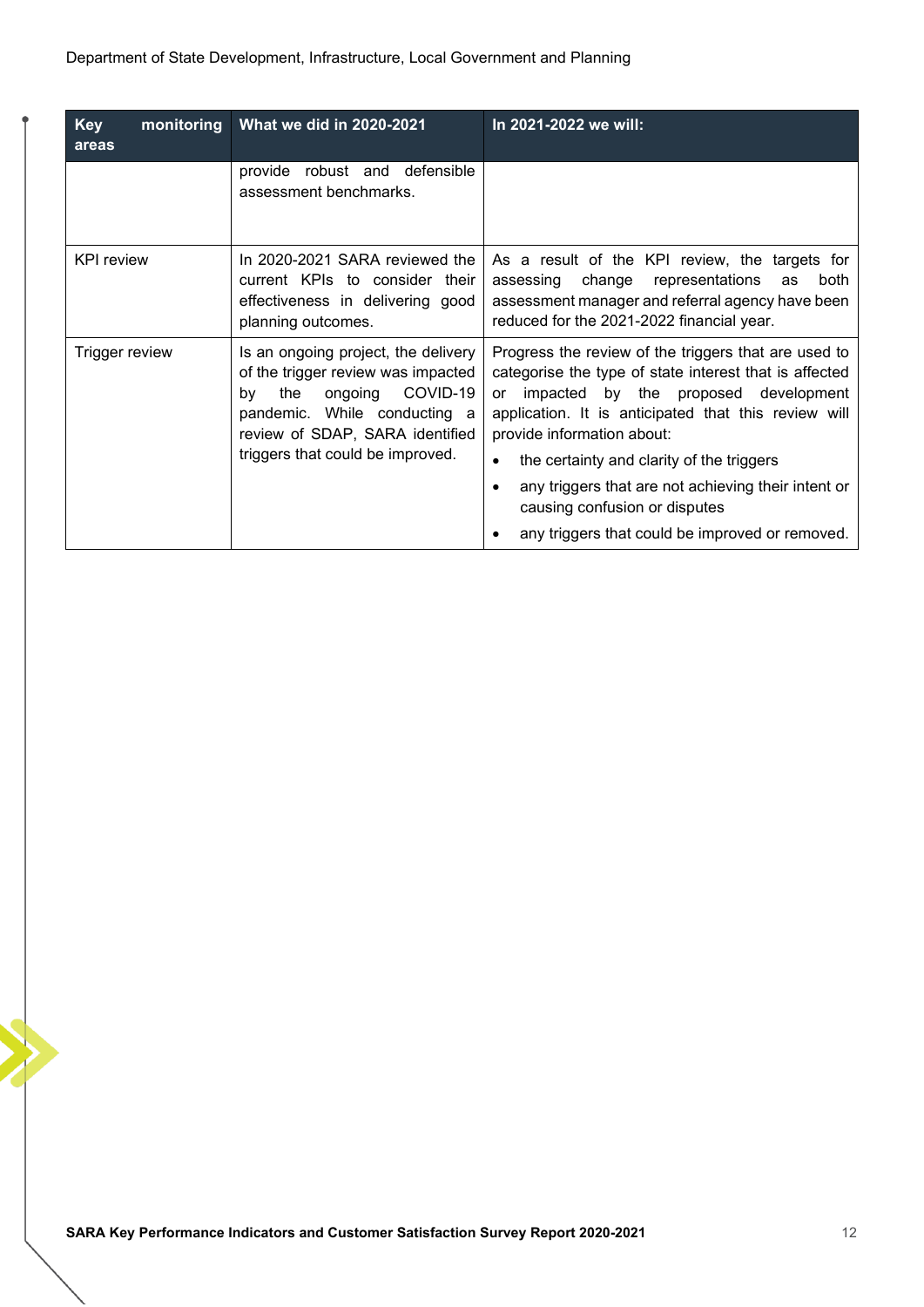| <b>Key</b><br>monitoring<br>areas                                                                                                                                                                                                      | What we did in 2020-2021                                                                                                                                                                                                                           | In 2021-2022 we will:                                                                                                                                                                                   |
|----------------------------------------------------------------------------------------------------------------------------------------------------------------------------------------------------------------------------------------|----------------------------------------------------------------------------------------------------------------------------------------------------------------------------------------------------------------------------------------------------|---------------------------------------------------------------------------------------------------------------------------------------------------------------------------------------------------------|
|                                                                                                                                                                                                                                        | provide robust and defensible<br>assessment benchmarks.                                                                                                                                                                                            |                                                                                                                                                                                                         |
| <b>KPI</b> review                                                                                                                                                                                                                      | In 2020-2021 SARA reviewed the<br>current KPIs to consider their<br>effectiveness in delivering good<br>planning outcomes.                                                                                                                         | As a result of the KPI review, the targets for<br>change<br>representations<br>both<br>assessing<br>as<br>assessment manager and referral agency have been<br>reduced for the 2021-2022 financial year. |
| Is an ongoing project, the delivery<br>Trigger review<br>of the trigger review was impacted<br>COVID-19<br>ongoing<br>the<br>by<br>pandemic. While conducting a<br>review of SDAP, SARA identified<br>triggers that could be improved. | Progress the review of the triggers that are used to<br>categorise the type of state interest that is affected<br>impacted by the proposed development<br>or<br>application. It is anticipated that this review will<br>provide information about: |                                                                                                                                                                                                         |
|                                                                                                                                                                                                                                        |                                                                                                                                                                                                                                                    | the certainty and clarity of the triggers                                                                                                                                                               |
|                                                                                                                                                                                                                                        |                                                                                                                                                                                                                                                    | any triggers that are not achieving their intent or<br>causing confusion or disputes                                                                                                                    |
|                                                                                                                                                                                                                                        |                                                                                                                                                                                                                                                    | any triggers that could be improved or removed.                                                                                                                                                         |